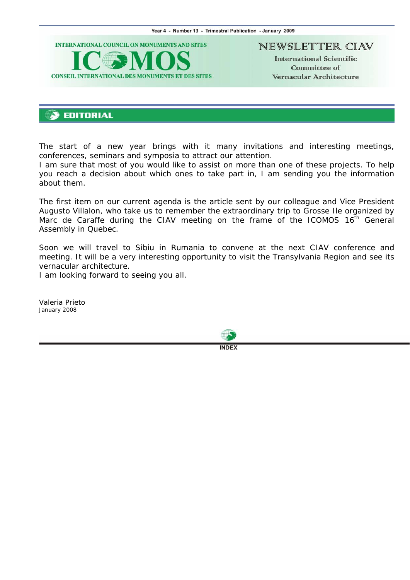<span id="page-0-0"></span>

NEWSLETTER CIAV

International Scientific Committee of Vernacular Architecture

# **EDITORIAL**

The start of a new year brings with it many invitations and interesting meetings, conferences, seminars and symposia to attract our attention.

I am sure that most of you would like to assist on more than one of these projects. To help you reach a decision about which ones to take part in, I am sending you the information about them.

The first item on our current agenda is the article sent by our colleague and Vice President Augusto Villalon, who take us to remember the extraordinary trip to Grosse Ile organized by Marc de Caraffe during the CIAV meeting on the frame of the ICOMOS  $16<sup>th</sup>$  General Assembly in Quebec.

Soon we will travel to Sibiu in Rumania to convene at the next CIAV conference and meeting. It will be a very interesting opportunity to visit the Transylvania Region and see its vernacular architecture.

I am looking forward to seeing you all.

*Valeria Prieto January 2008* 



**INDEX**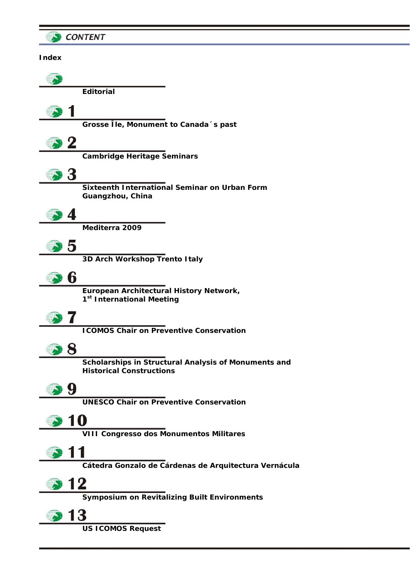<span id="page-1-0"></span>

| <b>CONTENT</b> |                                                       |
|----------------|-------------------------------------------------------|
| <b>Index</b>   |                                                       |
|                |                                                       |
|                |                                                       |
|                | <b>Editorial</b>                                      |
|                |                                                       |
|                | Grosse Île, Monument to Canada 's past                |
|                |                                                       |
|                | <b>Cambridge Heritage Seminars</b>                    |
|                |                                                       |
|                | Sixteenth International Seminar on Urban Form         |
|                | Guangzhou, China                                      |
|                |                                                       |
|                | Mediterra 2009                                        |
| 5              |                                                       |
|                | 3D Arch Workshop Trento Italy                         |
| 6              |                                                       |
|                | European Architectural History Network,               |
|                | 1 <sup>st</sup> International Meeting                 |
|                |                                                       |
|                | <b>ICOMOS Chair on Preventive Conservation</b>        |
|                |                                                       |
|                | Scholarships in Structural Analysis of Monuments and  |
|                | <b>Historical Constructions</b>                       |
| y              |                                                       |
|                | <b>UNESCO Chair on Preventive Conservation</b>        |
| 10             |                                                       |
|                | <b>VIII Congresso dos Monumentos Militares</b>        |
|                |                                                       |
|                | Cátedra Gonzalo de Cárdenas de Arquitectura Vernácula |
|                |                                                       |
| 2              |                                                       |
|                | <b>Symposium on Revitalizing Built Environments</b>   |
| 3              |                                                       |
|                | <b>US ICOMOS Request</b>                              |
|                |                                                       |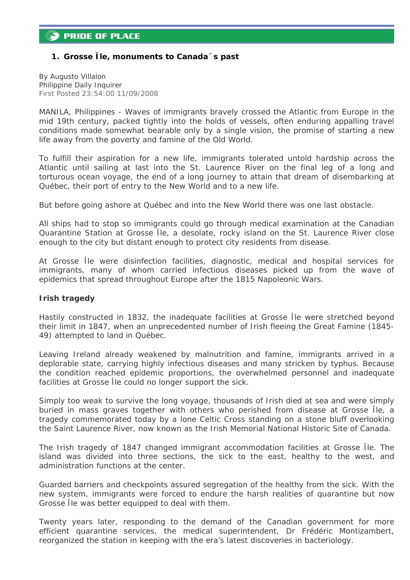## <span id="page-2-0"></span>*1. Grosse Île, monuments to Canada´s past*

*By Augusto Villalon Philippine Daily Inquirer First Posted 23:54:00 11/09/2008* 

MANILA, Philippines - Waves of immigrants bravely crossed the Atlantic from Europe in the mid 19th century, packed tightly into the holds of vessels, often enduring appalling travel conditions made somewhat bearable only by a single vision, the promise of starting a new life away from the poverty and famine of the Old World.

To fulfill their aspiration for a new life, immigrants tolerated untold hardship across the Atlantic until sailing at last into the St. Laurence River on the final leg of a long and torturous ocean voyage, the end of a long journey to attain that dream of disembarking at Québec, their port of entry to the New World and to a new life.

But before going ashore at Québec and into the New World there was one last obstacle.

All ships had to stop so immigrants could go through medical examination at the Canadian Quarantine Station at Grosse Île, a desolate, rocky island on the St. Laurence River close enough to the city but distant enough to protect city residents from disease.

At Grosse Île were disinfection facilities, diagnostic, medical and hospital services for immigrants, many of whom carried infectious diseases picked up from the wave of epidemics that spread throughout Europe after the 1815 Napoleonic Wars.

## **Irish tragedy**

Hastily constructed in 1832, the inadequate facilities at Grosse Île were stretched beyond their limit in 1847, when an unprecedented number of Irish fleeing the Great Famine (1845- 49) attempted to land in Québec.

Leaving Ireland already weakened by malnutrition and famine, immigrants arrived in a deplorable state, carrying highly infectious diseases and many stricken by typhus. Because the condition reached epidemic proportions, the overwhelmed personnel and inadequate facilities at Grosse Île could no longer support the sick.

Simply too weak to survive the long voyage, thousands of Irish died at sea and were simply buried in mass graves together with others who perished from disease at Grosse Île, a tragedy commemorated today by a lone Celtic Cross standing on a stone bluff overlooking the Saint Laurence River, now known as the Irish Memorial National Historic Site of Canada.

The Irish tragedy of 1847 changed immigrant accommodation facilities at Grosse Île. The island was divided into three sections, the sick to the east, healthy to the west, and administration functions at the center.

Guarded barriers and checkpoints assured segregation of the healthy from the sick. With the new system, immigrants were forced to endure the harsh realities of quarantine but now Grosse Île was better equipped to deal with them.

Twenty years later, responding to the demand of the Canadian government for more efficient quarantine services, the medical superintendent, Dr Frédéric Montizambert, reorganized the station in keeping with the era's latest discoveries in bacteriology.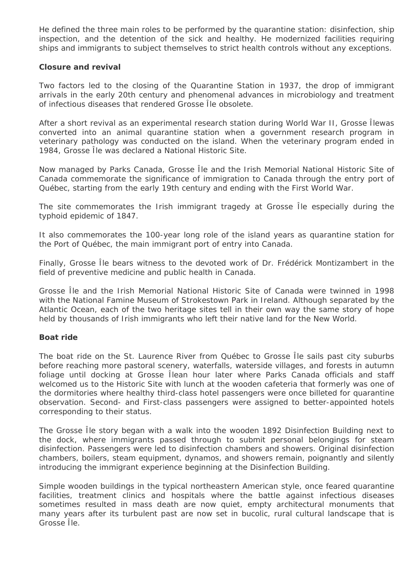He defined the three main roles to be performed by the quarantine station: disinfection, ship inspection, and the detention of the sick and healthy. He modernized facilities requiring ships and immigrants to subject themselves to strict health controls without any exceptions.

## **Closure and revival**

Two factors led to the closing of the Quarantine Station in 1937, the drop of immigrant arrivals in the early 20th century and phenomenal advances in microbiology and treatment of infectious diseases that rendered Grosse Île obsolete.

After a short revival as an experimental research station during World War II, Grosse Îlewas converted into an animal quarantine station when a government research program in veterinary pathology was conducted on the island. When the veterinary program ended in 1984, Grosse Île was declared a National Historic Site.

Now managed by Parks Canada, Grosse Île and the Irish Memorial National Historic Site of Canada commemorate the significance of immigration to Canada through the entry port of Québec, starting from the early 19th century and ending with the First World War.

The site commemorates the Irish immigrant tragedy at Grosse Île especially during the typhoid epidemic of 1847.

It also commemorates the 100-year long role of the island years as quarantine station for the Port of Québec, the main immigrant port of entry into Canada.

Finally, Grosse Île bears witness to the devoted work of Dr. Frédérick Montizambert in the field of preventive medicine and public health in Canada.

Grosse Île and the Irish Memorial National Historic Site of Canada were twinned in 1998 with the National Famine Museum of Strokestown Park in Ireland. Although separated by the Atlantic Ocean, each of the two heritage sites tell in their own way the same story of hope held by thousands of Irish immigrants who left their native land for the New World.

## **Boat ride**

The boat ride on the St. Laurence River from Québec to Grosse Île sails past city suburbs before reaching more pastoral scenery, waterfalls, waterside villages, and forests in autumn foliage until docking at Grosse Îlean hour later where Parks Canada officials and staff welcomed us to the Historic Site with lunch at the wooden cafeteria that formerly was one of the dormitories where healthy third-class hotel passengers were once billeted for quarantine observation. Second- and First-class passengers were assigned to better-appointed hotels corresponding to their status.

The Grosse Île story began with a walk into the wooden 1892 Disinfection Building next to the dock, where immigrants passed through to submit personal belongings for steam disinfection. Passengers were led to disinfection chambers and showers. Original disinfection chambers, boilers, steam equipment, dynamos, and showers remain, poignantly and silently introducing the immigrant experience beginning at the Disinfection Building.

Simple wooden buildings in the typical northeastern American style, once feared quarantine facilities, treatment clinics and hospitals where the battle against infectious diseases sometimes resulted in mass death are now quiet, empty architectural monuments that many years after its turbulent past are now set in bucolic, rural cultural landscape that is Grosse Île.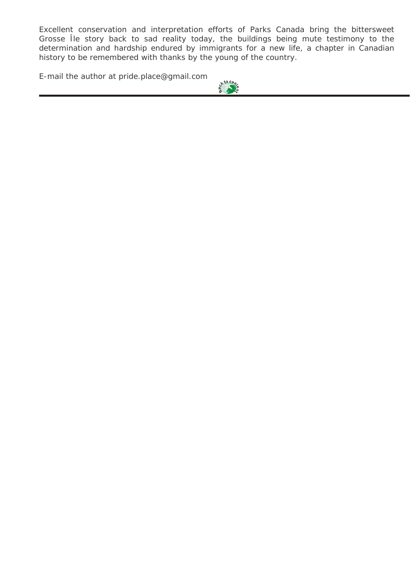Excellent conservation and interpretation efforts of Parks Canada bring the bittersweet Grosse Île story back to sad reality today, the buildings being mute testimony to the determination and hardship endured by immigrants for a new life, a chapter in Canadian history to be remembered with thanks by the young of the country.

*[E-mail the author at pride.place@gmail.com](#page-1-0)*

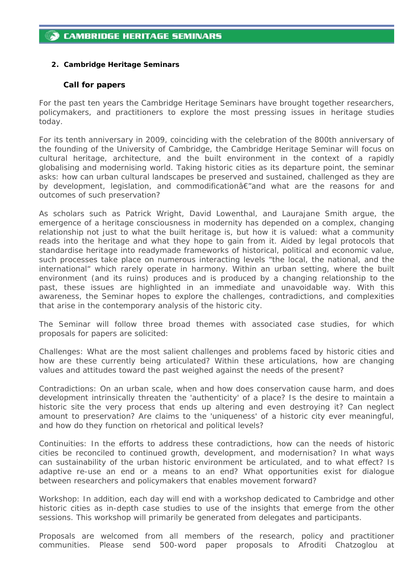## <span id="page-5-0"></span>*2. Cambridge Heritage Seminars*

#### **Call for papers**

For the past ten years the Cambridge Heritage Seminars have brought together researchers, policymakers, and practitioners to explore the most pressing issues in heritage studies today.

For its tenth anniversary in 2009, coinciding with the celebration of the 800th anniversary of the founding of the University of Cambridge, the Cambridge Heritage Seminar will focus on cultural heritage, architecture, and the built environment in the context of a rapidly globalising and modernising world. Taking historic cities as its departure point, the seminar asks: how can urban cultural landscapes be preserved and sustained, challenged as they are by development, legislation, and commodificationâ€"and what are the reasons for and outcomes of such preservation?

As scholars such as Patrick Wright, David Lowenthal, and Laurajane Smith argue, the emergence of a heritage consciousness in modernity has depended on a complex, changing relationship not just to what the built heritage is, but how it is valued: what a community reads into the heritage and what they hope to gain from it. Aided by legal protocols that standardise heritage into readymade frameworks of historical, political and economic value, such processes take place on numerous interacting levels "the local, the national, and the international" which rarely operate in harmony. Within an urban setting, where the built environment (and its ruins) produces and is produced by a changing relationship to the past, these issues are highlighted in an immediate and unavoidable way. With this awareness, the Seminar hopes to explore the challenges, contradictions, and complexities that arise in the contemporary analysis of the historic city.

The Seminar will follow three broad themes with associated case studies, for which proposals for papers are solicited:

Challenges: What are the most salient challenges and problems faced by historic cities and how are these currently being articulated? Within these articulations, how are changing values and attitudes toward the past weighed against the needs of the present?

Contradictions: On an urban scale, when and how does conservation cause harm, and does development intrinsically threaten the 'authenticity' of a place? Is the desire to maintain a historic site the very process that ends up altering and even destroying it? Can neglect amount to preservation? Are claims to the 'uniqueness' of a historic city ever meaningful, and how do they function on rhetorical and political levels?

Continuities: In the efforts to address these contradictions, how can the needs of historic cities be reconciled to continued growth, development, and modernisation? In what ways can sustainability of the urban historic environment be articulated, and to what effect? Is adaptive re-use an end or a means to an end? What opportunities exist for dialogue between researchers and policymakers that enables movement forward?

Workshop: In addition, each day will end with a workshop dedicated to Cambridge and other historic cities as in-depth case studies to use of the insights that emerge from the other sessions. This workshop will primarily be generated from delegates and participants.

Proposals are welcomed from all members of the research, policy and practitioner communities. Please send 500-word paper proposals to Afroditi Chatzoglou at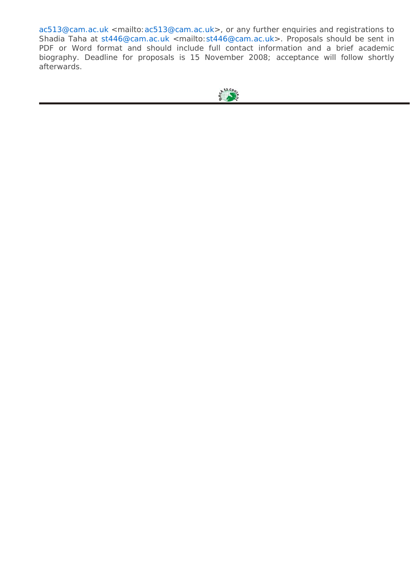[ac513@cam.ac.uk](mailto:ac513@cam.ac.uk) <mailto[:ac513@cam.ac.uk](mailto:ac513@cam.ac.uk)>, or any further enquiries and registrations to Shadia Taha at [st446@cam.ac.uk](mailto:st446@cam.ac.uk) <mailto:st446@cam.ac.uk>. Proposals should be sent in PDF or Word format and should include full contact information and a brief academic biography. Deadline for proposals is 15 November 2008; acceptance will follow shortly afterwards.

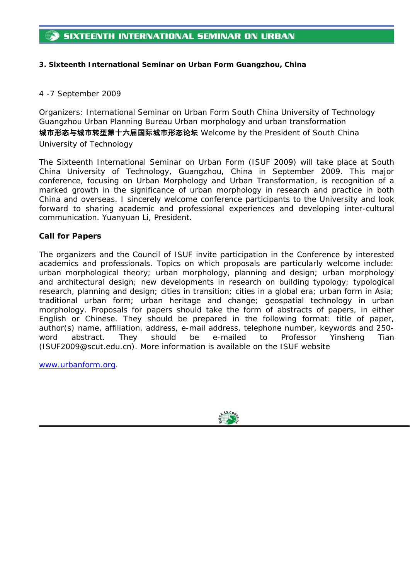## <span id="page-7-0"></span>*3. Sixteenth International Seminar on Urban Form Guangzhou, China*

## *4 -7 September 2009*

*Organizers: International Seminar on Urban Form South China University of Technology Guangzhou Urban Planning Bureau Urban morphology and urban transformation*  城市形态与城市转型第十六届国际城市形态论坛 *Welcome by the President of South China University of Technology* 

The Sixteenth International Seminar on Urban Form (ISUF 2009) will take place at South China University of Technology, Guangzhou, China in September 2009. This major conference, focusing on *Urban Morphology and Urban Transformation,* is recognition of a marked growth in the significance of urban morphology in research and practice in both China and overseas. I sincerely welcome conference participants to the University and look forward to sharing academic and professional experiences and developing inter-cultural communication. Yuanyuan Li, President.

## **Call for Papers**

The organizers and the Council of ISUF invite participation in the Conference by interested academics and professionals. Topics on which proposals are particularly welcome include: urban morphological theory; urban morphology, planning and design; urban morphology and architectural design; new developments in research on building typology; typological research, planning and design; cities in transition; cities in a global era; urban form in Asia; traditional urban form; urban heritage and change; geospatial technology in urban morphology. Proposals for papers should take the form of abstracts of papers, in either English or Chinese. They should be prepared in the following format: title of paper, author(s) name, affiliation, address, e-mail address, telephone number, keywords and 250 word abstract. They should be e-mailed to Professor Yinsheng Tian (ISUF2009@scut.edu.cn). More information is available on the ISUF website

[www.urbanform.org.](http://www.urbanform.org/)

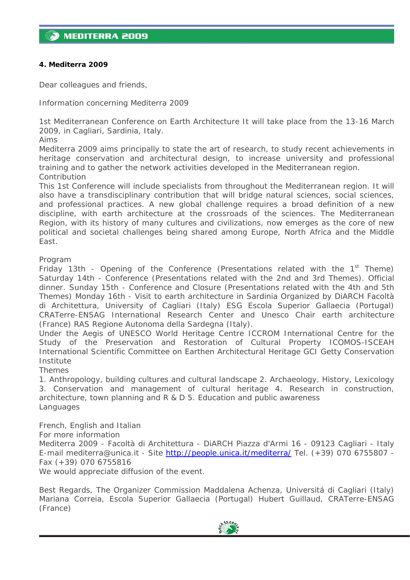## <span id="page-8-0"></span>*4. Mediterra 2009*

Dear colleagues and friends,

Information concerning Mediterra 2009

1st Mediterranean Conference on Earth Architecture It will take place from the 13-16 March 2009, in Cagliari, Sardinia, Italy.

Aims

Mediterra 2009 aims principally to state the art of research, to study recent achievements in heritage conservation and architectural design, to increase university and professional training and to gather the network activities developed in the Mediterranean region. Contribution

This 1st Conference will include specialists from throughout the Mediterranean region. It will also have a transdisciplinary contribution that will bridge natural sciences, social sciences, and professional practices. A new global challenge requires a broad definition of a new discipline, with earth architecture at the crossroads of the sciences. The Mediterranean Region, with its history of many cultures and civilizations, now emerges as the core of new political and societal challenges being shared among Europe, North Africa and the Middle East.

Program

Friday 13th - Opening of the Conference (Presentations related with the  $1<sup>st</sup>$  Theme) Saturday 14th - Conference (Presentations related with the 2nd and 3rd Themes). Official dinner. Sunday 15th - Conference and Closure (Presentations related with the 4th and 5th Themes) Monday 16th - Visit to earth architecture in Sardinia Organized by DiARCH Facoltà di Architettura, University of Cagliari (Italy) ESG Escola Superior Gallaecia (Portugal) CRATerre-ENSAG International Research Center and Unesco Chair earth architecture (France) RAS Regione Autonoma della Sardegna (Italy).

Under the Aegis of UNESCO World Heritage Centre ICCROM International Centre for the Study of the Preservation and Restoration of Cultural Property ICOMOS-ISCEAH International Scientific Committee on Earthen Architectural Heritage GCI Getty Conservation Institute

Themes

1. Anthropology, building cultures and cultural landscape 2. Archaeology, History, Lexicology 3. Conservation and management of cultural heritage 4. Research in construction, architecture, town planning and R & D 5. Education and public awareness Languages

French, English and Italian For more information Mediterra 2009 - Facoltà di Architettura - DiARCH Piazza d'Armi 16 - 09123 Cagliari - Italy E-mail mediterra@unica.it - Site <http://people.unica.it/mediterra/> Tel. (+39) 070 6755807 -Fax (+39) 070 6755816 We would appreciate diffusion of the event.

Best Regards, The Organizer Commission Maddalena Achenza, Universitá di Cagliari (Italy) Mariana Correia, Escola Superior Gallaecia (Portugal) Hubert Guillaud, CRATerre-ENSAG (France)

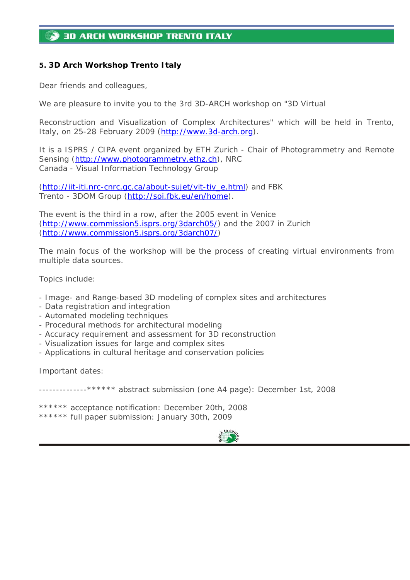# <span id="page-9-0"></span>**3D ARCH WORKSHOP TRENTO ITALY**

## *5. 3D Arch Workshop Trento Italy*

Dear friends and colleagues,

We are pleasure to invite you to the 3rd 3D-ARCH workshop on "3D Virtual

Reconstruction and Visualization of Complex Architectures" which will be held in Trento, Italy, on 25-28 February 2009 ([http://www.3d-arch.org](http://www.3d-arch.org/)).

It is a ISPRS / CIPA event organized by ETH Zurich - Chair of Photogrammetry and Remote Sensing [\(http://www.photogrammetry.ethz.ch](http://www.photogrammetry.ethz.ch/)), NRC Canada - Visual Information Technology Group

([http://iit-iti.nrc-cnrc.gc.ca/about-sujet/vit-tiv\\_e.html](http://iit-iti.nrc-cnrc.gc.ca/about-sujet/vit-tiv_e.html)) and FBK Trento - 3DOM Group [\(http://soi.fbk.eu/en/home](http://soi.fbk.eu/en/home)).

The event is the third in a row, after the 2005 event in Venice (<http://www.commission5.isprs.org/3darch05/>) and the 2007 in Zurich (<http://www.commission5.isprs.org/3darch07/>)

The main focus of the workshop will be the process of creating virtual environments from multiple data sources.

Topics include:

- Image- and Range-based 3D modeling of complex sites and architectures
- Data registration and integration
- Automated modeling techniques
- Procedural methods for architectural modeling
- Accuracy requirement and assessment for 3D reconstruction
- Visualization issues for large and complex sites
- Applications in cultural heritage and conservation policies

Important dates:

--------------\*\*\*\*\*\* abstract submission (one A4 page): December 1st, 2008

\*\*\*\*\*\* acceptance notification: December 20th, 2008 \*\*\*\*\*\* full paper submission: January 30th, 2009

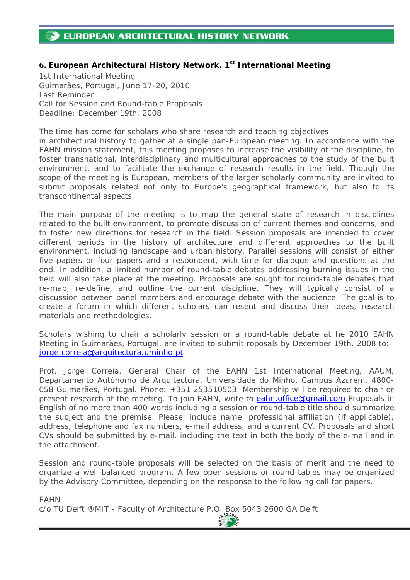# <span id="page-10-0"></span>**EUROPEAN ARCHITECTURAL HISTORY NETWORK**

## *6. European Architectural History Network. 1st International Meeting*

1st International Meeting Guimarães, Portugal, June 17-20, 2010 Last Reminder: Call for Session and Round-table Proposals Deadline: December 19th, 2008

The time has come for scholars who share research and teaching objectives in architectural history to gather at a single pan-European meeting. In accordance with the EAHN mission statement, this meeting proposes to increase the visibility of the discipline, to foster transnational, interdisciplinary and multicultural approaches to the study of the built environment, and to facilitate the exchange of research results in the field. Though the scope of the meeting is European, members of the larger scholarly community are invited to submit proposals related not only to Europe's geographical framework, but also to its transcontinental aspects.

The main purpose of the meeting is to map the general state of research in disciplines related to the built environment, to promote discussion of current themes and concerns, and to foster new directions for research in the field. Session proposals are intended to cover different periods in the history of architecture and different approaches to the built environment, including landscape and urban history. Parallel sessions will consist of either five papers or four papers and a respondent, with time for dialogue and questions at the end. In addition, a limited number of round-table debates addressing burning issues in the field will also take place at the meeting. Proposals are sought for round-table debates that re-map, re-define, and outline the current discipline. They will typically consist of a discussion between panel members and encourage debate with the audience. The goal is to create a forum in which different scholars can resent and discuss their ideas, research materials and methodologies.

Scholars wishing to chair a scholarly session or a round-table debate at he 2010 EAHN Meeting in Guimarães, Portugal, are invited to submit roposals by December 19th, 2008 to: [jorge.correia@arquitectura.uminho.pt](mailto:jorge.correia@arquitectura.uminho.pt)

Prof. Jorge Correia, General Chair of the EAHN 1st International Meeting, AAUM, Departamento Autónomo de Arquitectura, Universidade do Minho, Campus Azurém, 4800- 058 Guimarães, Portugal. Phone: +351 253510503. Membership will be required to chair or present research at the meeting. To join EAHN, write to [eahn.office@gmail.com](mailto:eahn.office@gmail.com) Proposals in English of no more than 400 words including a session or round-table title should summarize the subject and the premise. Please, include name, professional affiliation (if applicable), address, telephone and fax numbers, e-mail address, and a current CV. Proposals and short CVs should be submitted by e-mail, including the text in both the body of the e-mail and in the attachment.

Session and round-table proposals will be selected on the basis of merit and the need to organize a well-balanced program. A few open sessions or round-tables may be organized by the Advisory Committee, depending on the response to the following call for papers.

EAHN [c/o TU Delft ®MIT - Faculty of Architecture P.O. Box 5043 2600 GA Delft](#page-1-0)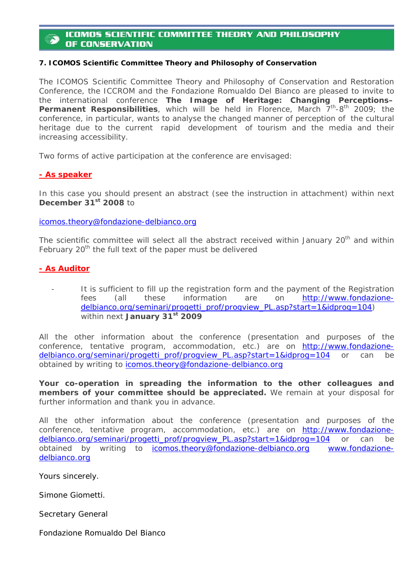## <span id="page-11-0"></span>**ICOMOS SCIENTIFIC COMMITTEE THEORY AND PHILOSOPHY** OF CONSERVATION

#### *7. ICOMOS Scientific Committee Theory and Philosophy of Conservation*

The ICOMOS Scientific Committee Theory and Philosophy of Conservation and Restoration Conference, the ICCROM and the Fondazione Romualdo Del Bianco are pleased to invite to the international conference *The Image of Heritage: Changing Perceptions–* Permanent Responsibilities, which will be held in Florence, March 7<sup>th</sup>-8<sup>th</sup> 2009; the conference, in particular, wants to analyse the changed manner of perception of the cultural heritage due to the current rapid development of tourism and the media and their increasing accessibility.

Two forms of active participation at the conference are envisaged:

#### **- As speaker**

In this case you should present an abstract (see the instruction in attachment) within next **December 31st 2008 to** 

[icomos.theory@fondazione-delbianco.org](mailto:icomos.theory@fondazione-delbianco.org)

The scientific committee will select all the abstract received within January 20<sup>th</sup> and within February 20<sup>th</sup> the full text of the paper must be delivered

## **- As Auditor**

It is sufficient to fill up the registration form and the payment of the Registration fees (all these information are on [http://www.fondazione](http://www.fondazione-delbianco.org/seminari/progetti_prof/progview_PL.asp?start=1&idprog=104)[delbianco.org/seminari/progetti\\_prof/progview\\_PL.asp?start=1&idprog=104](http://www.fondazione-delbianco.org/seminari/progetti_prof/progview_PL.asp?start=1&idprog=104)) within next **January 31st 2009** 

All the other information about the conference (presentation and purposes of the conference, tentative program, accommodation, etc.) are on [http://www.fondazione](http://www.fondazione-delbianco.org/seminari/progetti_prof/progview_PL.asp?start=1&idprog=104)[delbianco.org/seminari/progetti\\_prof/progview\\_PL.asp?start=1&idprog=104](http://www.fondazione-delbianco.org/seminari/progetti_prof/progview_PL.asp?start=1&idprog=104) or can be obtained by writing to *icomos.theory@fondazione-delbianco.org* 

**Your co-operation in spreading the information to the other colleagues and members of your committee should be appreciated.** We remain at your disposal for further information and thank you in advance.

All the other information about the conference (presentation and purposes of the conference, tentative program, accommodation, etc.) are on [http://www.fondazione](http://www.fondazione-delbianco.org/seminari/progetti_prof/progview_PL.asp?start=1&idprog=104)[delbianco.org/seminari/progetti\\_prof/progview\\_PL.asp?start=1&idprog=104](http://www.fondazione-delbianco.org/seminari/progetti_prof/progview_PL.asp?start=1&idprog=104) or can be obtained by writing to [icomos.theory@fondazione-delbianco.org](mailto:icomos.theory@fondazione-delbianco.org) [www.fondazione](http://www.fondazione-delbianco.org/)[delbianco.org](http://www.fondazione-delbianco.org/)

Yours sincerely.

Simone Giometti.

Secretary General

Fondazione Romualdo Del Bianco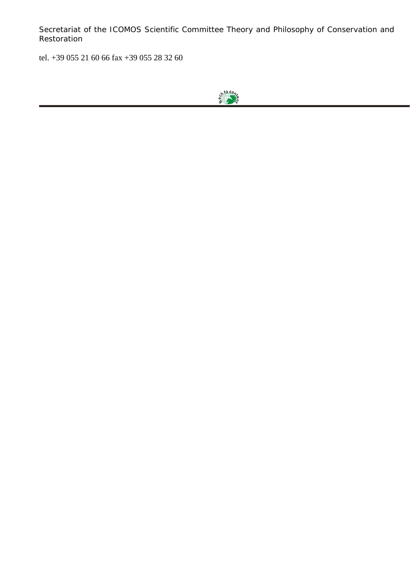Secretariat of the ICOMOS Scientific Committee Theory and Philosophy of Conservation and Restoration

tel. +39 055 21 60 66 fax +39 055 28 32 60

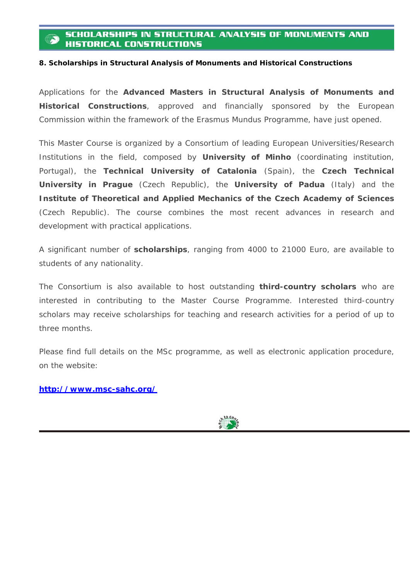## <span id="page-13-0"></span>**SCHOLARSHIPS IN STRUCTURAL ANALYSIS OF MONUMENTS AND HISTORICAL CONSTRUCTIONS**

#### *8. Scholarships in Structural Analysis of Monuments and Historical Constructions*

Applications for the **Advanced Masters in Structural Analysis of Monuments and Historical Constructions**, approved and financially sponsored by the European Commission within the framework of the Erasmus Mundus Programme, have just opened.

This Master Course is organized by a Consortium of leading European Universities/Research Institutions in the field, composed by **University of Minho** (coordinating institution, Portugal), the **Technical University of Catalonia** (Spain), the **Czech Technical University in Prague** (Czech Republic), the **University of Padua** (Italy) and the **Institute of Theoretical and Applied Mechanics of the Czech Academy of Sciences** (Czech Republic). The course combines the most recent advances in research and development with practical applications.

A significant number of **scholarships**, ranging from 4000 to 21000 Euro, are available to students of any nationality.

The Consortium is also available to host outstanding **third-country scholars** who are interested in contributing to the Master Course Programme. Interested third-country scholars may receive scholarships for teaching and research activities for a period of up to three months.

Please find full details on the MSc programme, as well as electronic application procedure, on the website:

**<http://www.msc-sahc.org/>**

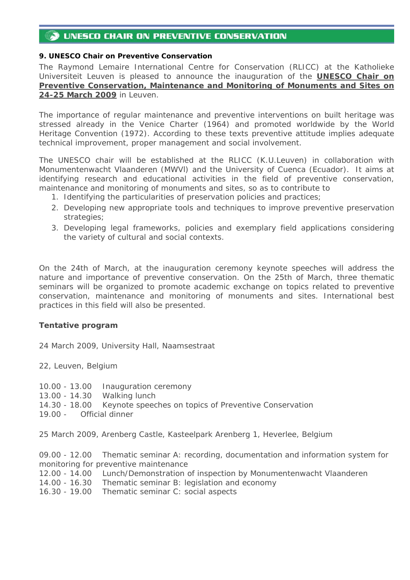# <span id="page-14-0"></span>UNESCO CHAIR ON PREVENTIVE CONSERVATION

## *9. UNESCO Chair on Preventive Conservation*

The Raymond Lemaire International Centre for Conservation (RLICC) at the Katholieke Universiteit Leuven is pleased to announce the inauguration of the *UNESCO Chair on Preventive Conservation, Maintenance and Monitoring of Monuments and Sites on 24-25 March 2009* in Leuven.

The importance of regular maintenance and preventive interventions on built heritage was stressed already in the Venice Charter (1964) and promoted worldwide by the World Heritage Convention (1972). According to these texts preventive attitude implies adequate technical improvement, proper management and social involvement.

The UNESCO chair will be established at the RLICC (K.U.Leuven) in collaboration with Monumentenwacht Vlaanderen (MWVl) and the University of Cuenca (Ecuador). It aims at identifying research and educational activities in the field of preventive conservation, maintenance and monitoring of monuments and sites, so as to contribute to

- 1. Identifying the particularities of preservation policies and practices;
- 2. Developing new appropriate tools and techniques to improve preventive preservation strategies;
- 3. Developing legal frameworks, policies and exemplary field applications considering the variety of cultural and social contexts.

On the 24th of March, at the inauguration ceremony keynote speeches will address the nature and importance of preventive conservation. On the 25th of March, three thematic seminars will be organized to promote academic exchange on topics related to preventive conservation, maintenance and monitoring of monuments and sites. International best practices in this field will also be presented.

## **Tentative program**

24 March 2009, University Hall, Naamsestraat

22, Leuven, Belgium

- 10.00 13.00 Inauguration ceremony
- 13.00 14.30 Walking lunch
- 14.30 18.00 Keynote speeches on topics of Preventive Conservation
- 19.00 Official dinner

25 March 2009, Arenberg Castle, Kasteelpark Arenberg 1, Heverlee, Belgium

09.00 - 12.00 Thematic seminar A: recording, documentation and information system for monitoring for preventive maintenance

- 12.00 14.00 Lunch/Demonstration of inspection by Monumentenwacht Vlaanderen
- 14.00 16.30 Thematic seminar B: legislation and economy
- 16.30 19.00 Thematic seminar C: social aspects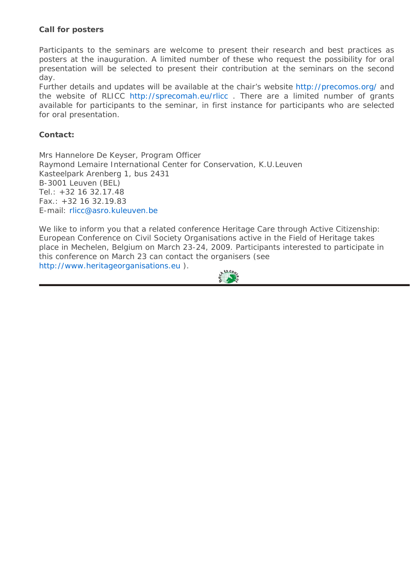## **Call for posters**

Participants to the seminars are welcome to present their research and best practices as posters at the inauguration. A limited number of these who request the possibility for oral presentation will be selected to present their contribution at the seminars on the second day.

Further details and updates will be available at the chair's website <http://precomos.org/>and the website of RLICC <http://sprecomah.eu/rlicc> . There are a limited number of grants available for participants to the seminar, in first instance for participants who are selected for oral presentation.

## **Contact:**

Mrs Hannelore De Keyser, Program Officer Raymond Lemaire International Center for Conservation, K.U.Leuven Kasteelpark Arenberg 1, bus 2431 B-3001 Leuven (BEL) Tel.: +32 16 32.17.48 Fax.: +32 16 32.19.83 E-mail: [rlicc@asro.kuleuven.be](mailto:rlicc@asro.kuleuven.be)

We like to inform you that a related conference Heritage Care through Active Citizenship: European Conference on Civil Society Organisations active in the Field of Heritage takes place in Mechelen, Belgium on March 23-24, 2009. Participants interested to participate in this conference on March 23 can contact the organisers (see [http://www.heritageorganisations.eu](http://www.heritageorganisations.eu/) [\).](#page-1-0)

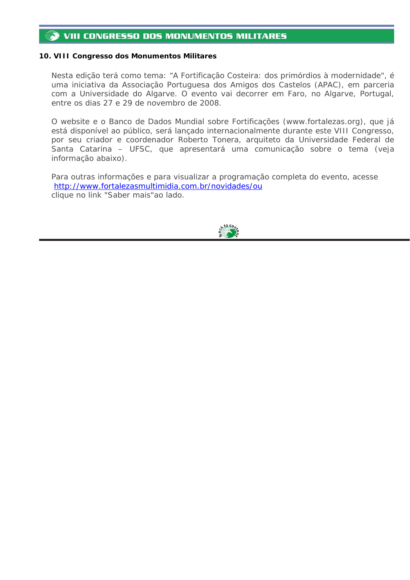#### <span id="page-16-0"></span>**VIII CONGRESSO DOS MONUMENTOS MILITARES** 53

#### *10. VIII Congresso dos Monumentos Militares*

Nesta edição terá como tema: "A Fortificação Costeira: dos primórdios à modernidade", é uma iniciativa da Associação Portuguesa dos Amigos dos Castelos (APAC), em parceria com a Universidade do Algarve. O evento vai decorrer em Faro, no Algarve, Portugal, entre os dias 27 e 29 de novembro de 2008.

O website e o Banco de Dados Mundial sobre Fortificações (www.fortalezas.org), que já está disponível ao público, será lançado internacionalmente durante este VIII Congresso, por seu criador e coordenador Roberto Tonera, arquiteto da Universidade Federal de Santa Catarina – UFSC, que apresentará uma comunicação sobre o tema (veja informação abaixo).

Para outras informações e para visualizar a programação completa do evento, acesse <http://www.fortalezasmultimidia.com.br/novidades/ou> clique no link "Saber mais"ao lado.

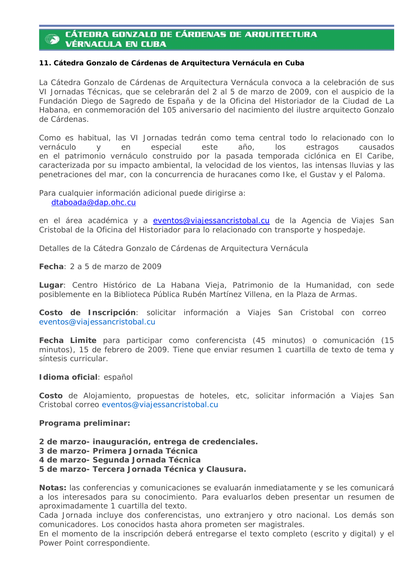# <span id="page-17-0"></span>**CÁTEDRA GONZALO DE CÁRDENAS DE ARQUITECTURA VÉRNACULA EN CUBA**

#### *11. Cátedra Gonzalo de Cárdenas de Arquitectura Vernácula en Cuba*

La Cátedra Gonzalo de Cárdenas de Arquitectura Vernácula convoca a la celebración de sus VI Jornadas Técnicas, que se celebrarán del 2 al 5 de marzo de 2009, con el auspicio de la Fundación Diego de Sagredo de España y de la Oficina del Historiador de la Ciudad de La Habana, en conmemoración del 105 aniversario del nacimiento del ilustre arquitecto Gonzalo de Cárdenas.

Como es habitual, las VI Jornadas tedrán como tema central todo lo relacionado con lo vernáculo y en especial este año, los estragos causados en el patrimonio vernáculo construido por la pasada temporada ciclónica en El Caribe, caracterizada por su impacto ambiental, la velocidad de los vientos, las intensas lluvias y las penetraciones del mar, con la concurrencia de huracanes como Ike, el Gustav y el Paloma.

Para cualquier información adicional puede dirigirse a:

[dtaboada@dap.ohc.cu](mailto:dtaboada@dap.ohc.cu)

en el área académica y a [eventos@viajessancristobal.cu](mailto:eventos@viajessancristobal.cu) de la Agencia de Viajes San Cristobal de la Oficina del Historiador para lo relacionado con transporte y hospedaje.

Detalles de la Cátedra Gonzalo de Cárdenas de Arquitectura Vernácula

**Fecha**: 2 a 5 de marzo de 2009

**Lugar**: Centro Histórico de La Habana Vieja, Patrimonio de la Humanidad, con sede posiblemente en la Biblioteca Pública Rubén Martínez Villena, en la Plaza de Armas.

**Costo de Inscripción**: solicitar información a Viajes San Cristobal con correo [eventos@viajessancristobal.cu](mailto:eventos@viajessancristobal.cu)

**Fecha Limite** para participar como conferencista (45 minutos) o comunicación (15 minutos), 15 de febrero de 2009. Tiene que enviar resumen 1 cuartilla de texto de tema y síntesis curricular.

#### **Idioma oficial**: español

**Costo** de Alojamiento, propuestas de hoteles, etc, solicitar información a Viajes San Cristobal correo [eventos@viajessancristobal.cu](mailto:eventos@viajessancristobal.cu)

#### **Programa preliminar:**

- **2 de marzo- inauguración, entrega de credenciales.**
- **3 de marzo- Primera Jornada Técnica**

**4 de marzo- Segunda Jornada Técnica**

**5 de marzo- Tercera Jornada Técnica y Clausura.**

**Notas:** las conferencias y comunicaciones se evaluarán inmediatamente y se les comunicará a los interesados para su conocimiento. Para evaluarlos deben presentar un resumen de aproximadamente 1 cuartilla del texto.

Cada Jornada incluye dos conferencistas, uno extranjero y otro nacional. Los demás son comunicadores. Los conocidos hasta ahora prometen ser magistrales.

En el momento de la inscripción deberá entregarse el texto completo (escrito y digital) y el Power Point correspondiente.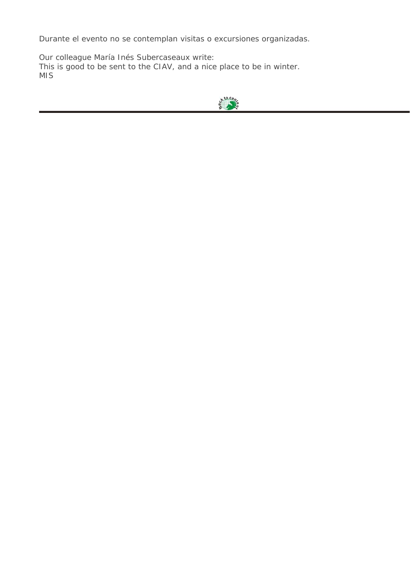Durante el evento no se contemplan visitas o excursiones organizadas.

Our colleague María Inés Subercaseaux write: This is good to be sent to the CIAV, and a nice place to be in winter. MIS

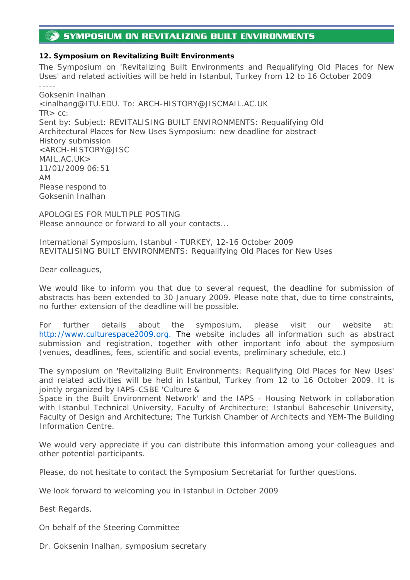# <span id="page-19-0"></span>**SYMPOSIUM ON REVITALIZING BUILT ENVIRONMENTS**

## *12. Symposium on Revitalizing Built Environments*

The Symposium on 'Revitalizing Built Environments and Requalifying Old Places for New Uses' and related activities will be held in Istanbul, Turkey from 12 to 16 October 2009 ----- Goksenin Inalhan

<inalhang@ITU.EDU. To: ARCH-HISTORY@JISCMAIL.AC.UK  $TR > CC$ : Sent by: Subject: REVITALISING BUILT ENVIRONMENTS: Requalifying Old Architectural Places for New Uses Symposium: new deadline for abstract History submission <ARCH-HISTORY@JISC MAIL.AC.UK> 11/01/2009 06:51 AM Please respond to Goksenin Inalhan

APOLOGIES FOR MULTIPLE POSTING Please announce or forward to all your contacts...

International Symposium, Istanbul - TURKEY, 12-16 October 2009 REVITALISING BUILT ENVIRONMENTS: Requalifying Old Places for New Uses

Dear colleagues,

We would like to inform you that due to several request, the deadline for submission of abstracts has been extended to 30 January 2009. Please note that, due to time constraints, no further extension of the deadline will be possible.

For further details about the symposium, please visit our website at: http://www.culturespace2009.org. The website includes all information such as abstract submission and registration, together with other important info about the symposium (venues, deadlines, fees, scientific and social events, preliminary schedule, etc.)

The symposium on 'Revitalizing Built Environments: Requalifying Old Places for New Uses' and related activities will be held in Istanbul, Turkey from 12 to 16 October 2009. It is jointly organized by IAPS-CSBE 'Culture &

Space in the Built Environment Network' and the IAPS - Housing Network in collaboration with Istanbul Technical University, Faculty of Architecture; Istanbul Bahcesehir University, Faculty of Design and Architecture; The Turkish Chamber of Architects and YEM-The Building Information Centre.

We would very appreciate if you can distribute this information among your colleagues and other potential participants.

Please, do not hesitate to contact the Symposium Secretariat for further questions.

We look forward to welcoming you in Istanbul in October 2009

Best Regards,

On behalf of the Steering Committee

Dr. Goksenin Inalhan, symposium secretary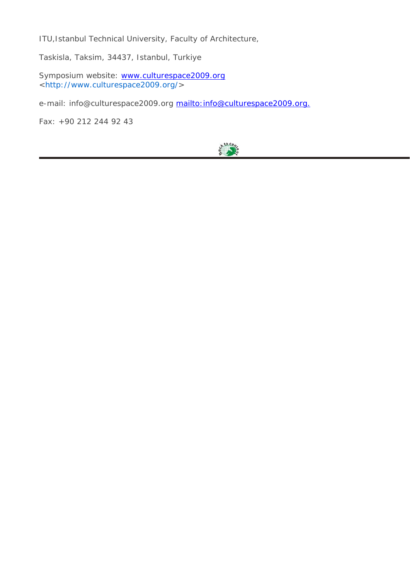ITU,Istanbul Technical University, Faculty of Architecture,

Taskisla, Taksim, 34437, Istanbul, Turkiye

Symposium website: [www.culturespace2009.org](http://www.culturespace2009.org/) <<http://www.culturespace2009.org/>>

e-mail: info@culturespace2009.org mailto: info@culturespace2009.org.

Fax: +90 212 244 92 43